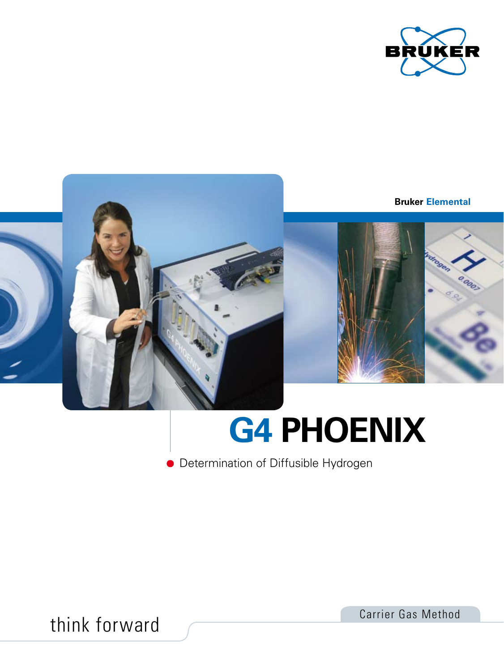

**Bruker Elemental**



# **G4 PHOENIX**

**•** Determination of Diffusible Hydrogen

think forward Carrier Gas Method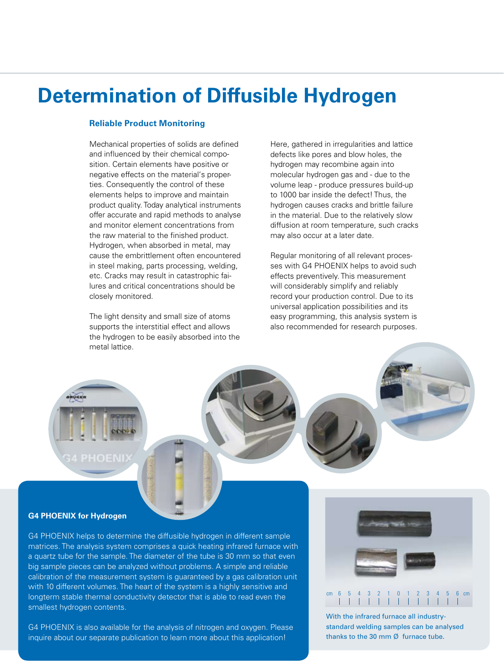# **Determination of Diffusible Hydrogen**

#### **Reliable Product Monitoring**

Mechanical properties of solids are defined and influenced by their chemical composition. Certain elements have positive or negative effects on the material's properties. Consequently the control of these elements helps to improve and maintain product quality. Today analytical instruments offer accurate and rapid methods to analyse and monitor element concentrations from the raw material to the finished product. Hydrogen, when absorbed in metal, may cause the embrittlement often encountered in steel making, parts processing, welding, etc. Cracks may result in catastrophic failures and critical concentrations should be closely monitored.

The light density and small size of atoms supports the interstitial effect and allows the hydrogen to be easily absorbed into the metal lattice.

Here, gathered in irregularities and lattice defects like pores and blow holes, the hydrogen may recombine again into molecular hydrogen gas and - due to the volume leap - produce pressures build-up to 1000 bar inside the defect! Thus, the hydrogen causes cracks and brittle failure in the material. Due to the relatively slow diffusion at room temperature, such cracks may also occur at a later date.

Regular monitoring of all relevant processes with G4 PHOENIX helps to avoid such effects preventively. This measurement will considerably simplify and reliably record your production control. Due to its universal application possibilities and its easy programming, this analysis system is also recommended for research purposes.

**34 PHOENI** 

#### **G4 PHOENIX for Hydrogen**

G4 PHOENIX helps to determine the diffusible hydrogen in different sample matrices. The analysis system comprises a quick heating infrared furnace with a quartz tube for the sample. The diameter of the tube is 30 mm so that even big sample pieces can be analyzed without problems. A simple and reliable calibration of the measurement system is guaranteed by a gas calibration unit with 10 different volumes. The heart of the system is a highly sensitive and longterm stable thermal conductivity detector that is able to read even the smallest hydrogen contents.

G4 PHOENIX is also available for the analysis of nitrogen and oxygen. Please inquire about our separate publication to learn more about this application!



With the infrared furnace all industrystandard welding samples can be analysed thanks to the 30 mm Ø furnace tube.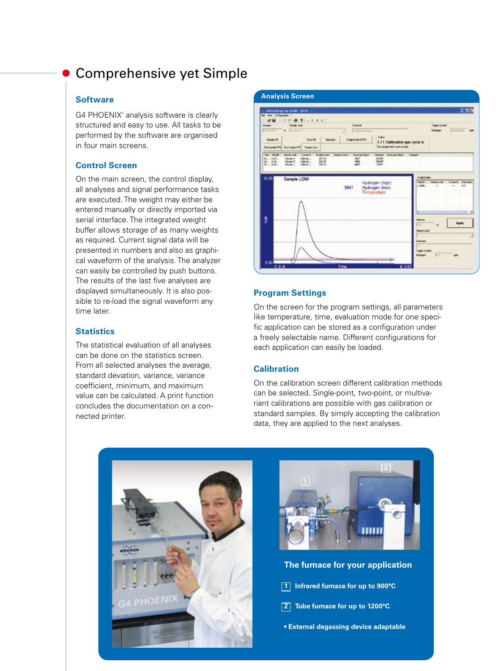## Comprehensive yet Simple

#### **Software**

G4 PHOENIX' analysis software is clearly structured and easy to use. All tasks to be performed by the software are organised in four main screens.

#### **Control Screen**

On the main screen, the control display, all analyses and signal performance tasks are executed. The weight may either be entered manually or directly imported via serial interface. The integrated weight buffer allows storage of as many weights as required. Current signal data will be presented in numbers and also as graphical waveform of the analysis. The analyzer can easily be controlled by push buttons. The results of the last five analyses are displayed simultaneously. It is also possible to re-load the signal waveform any time later.

#### **Statistics**

The statistical evaluation of all analyses can be done on the statistics screen. From all selected analyses the average, standard deviation, variance, variance coefficient, minimum, and maximum value can be calculated. A print function concludes the documentation on a connected printer.



#### **Program Settings**

On the screen for the program settings, all parameters like temperature, time, evaluation mode for one specific application can be stored as a configuration under a freely selectable name. Different configurations for each application can easily be loaded.

#### **Calibration**

On the calibration screen different calibration methods can be selected. Single-point, two-point, or multivariant calibrations are possible with gas calibration or standard samples. By simply accepting the calibration data, they are applied to the next analyses.